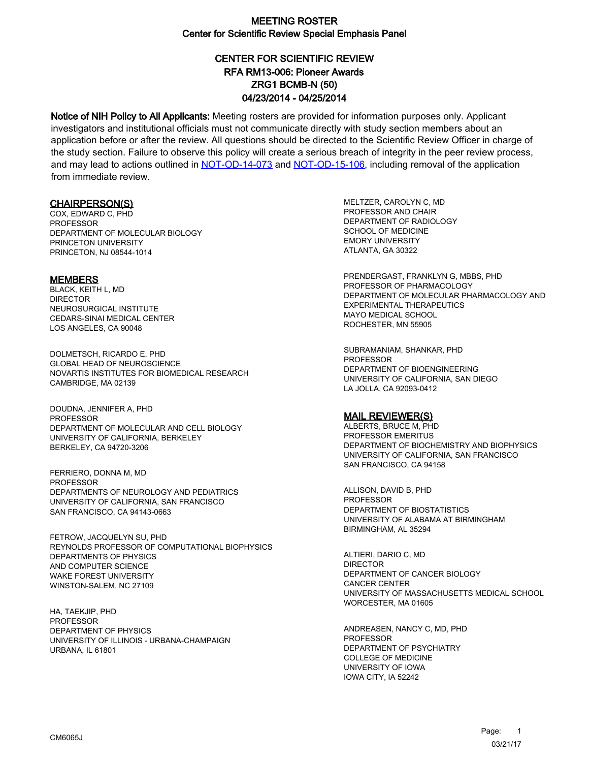# CENTER FOR SCIENTIFIC REVIEW ZRG1 BCMB-N (50) 04/23/2014 - 04/25/2014 RFA RM13-006: Pioneer Awards

Notice of NIH Policy to All Applicants: Meeting rosters are provided for information purposes only. Applicant investigators and institutional officials must not communicate directly with study section members about an application before or after the review. All questions should be directed to the Scientific Review Officer in charge of the study section. Failure to observe this policy will create a serious breach of integrity in the peer review process, and may lead to actions outlined in [NOT-OD-14-073](https://grants.nih.gov/grants/guide/notice-files/NOT-OD-14-073.html) and [NOT-OD-15-106,](https://grants.nih.gov/grants/guide/notice-files/NOT-OD-15-106.html) including removal of the application from immediate review.

#### CHAIRPERSON(S)

COX, EDWARD C, PHD PROFESSOR DEPARTMENT OF MOLECULAR BIOLOGY PRINCETON UNIVERSITY PRINCETON, NJ 08544-1014

#### **MEMBERS**

BLACK, KEITH L, MD DIRECTOR NEUROSURGICAL INSTITUTE CEDARS-SINAI MEDICAL CENTER LOS ANGELES, CA 90048

DOLMETSCH, RICARDO E, PHD GLOBAL HEAD OF NEUROSCIENCE NOVARTIS INSTITUTES FOR BIOMEDICAL RESEARCH CAMBRIDGE, MA 02139

DOUDNA, JENNIFER A, PHD PROFESSOR DEPARTMENT OF MOLECULAR AND CELL BIOLOGY UNIVERSITY OF CALIFORNIA, BERKELEY BERKELEY, CA 94720-3206

FERRIERO, DONNA M, MD **PROFESSOR** DEPARTMENTS OF NEUROLOGY AND PEDIATRICS UNIVERSITY OF CALIFORNIA, SAN FRANCISCO SAN FRANCISCO, CA 94143-0663

FETROW, JACQUELYN SU, PHD REYNOLDS PROFESSOR OF COMPUTATIONAL BIOPHYSICS DEPARTMENTS OF PHYSICS AND COMPUTER SCIENCE WAKE FOREST UNIVERSITY WINSTON-SALEM, NC 27109

HA, TAEKJIP, PHD PROFESSOR DEPARTMENT OF PHYSICS UNIVERSITY OF ILLINOIS - URBANA-CHAMPAIGN URBANA, IL 61801

MELTZER, CAROLYN C, MD PROFESSOR AND CHAIR DEPARTMENT OF RADIOLOGY SCHOOL OF MEDICINE EMORY UNIVERSITY ATLANTA, GA 30322

PRENDERGAST, FRANKLYN G, MBBS, PHD PROFESSOR OF PHARMACOLOGY DEPARTMENT OF MOLECULAR PHARMACOLOGY AND EXPERIMENTAL THERAPEUTICS MAYO MEDICAL SCHOOL ROCHESTER, MN 55905

SUBRAMANIAM, SHANKAR, PHD PROFESSOR DEPARTMENT OF BIOENGINEERING UNIVERSITY OF CALIFORNIA, SAN DIEGO LA JOLLA, CA 92093-0412

#### MAIL REVIEWER(S)

ALBERTS, BRUCE M, PHD PROFESSOR EMERITUS DEPARTMENT OF BIOCHEMISTRY AND BIOPHYSICS UNIVERSITY OF CALIFORNIA, SAN FRANCISCO SAN FRANCISCO, CA 94158

ALLISON, DAVID B, PHD PROFESSOR DEPARTMENT OF BIOSTATISTICS UNIVERSITY OF ALABAMA AT BIRMINGHAM BIRMINGHAM, AL 35294

ALTIERI, DARIO C, MD DIRECTOR DEPARTMENT OF CANCER BIOLOGY CANCER CENTER UNIVERSITY OF MASSACHUSETTS MEDICAL SCHOOL WORCESTER, MA 01605

ANDREASEN, NANCY C, MD, PHD PROFESSOR DEPARTMENT OF PSYCHIATRY COLLEGE OF MEDICINE UNIVERSITY OF IOWA IOWA CITY, IA 52242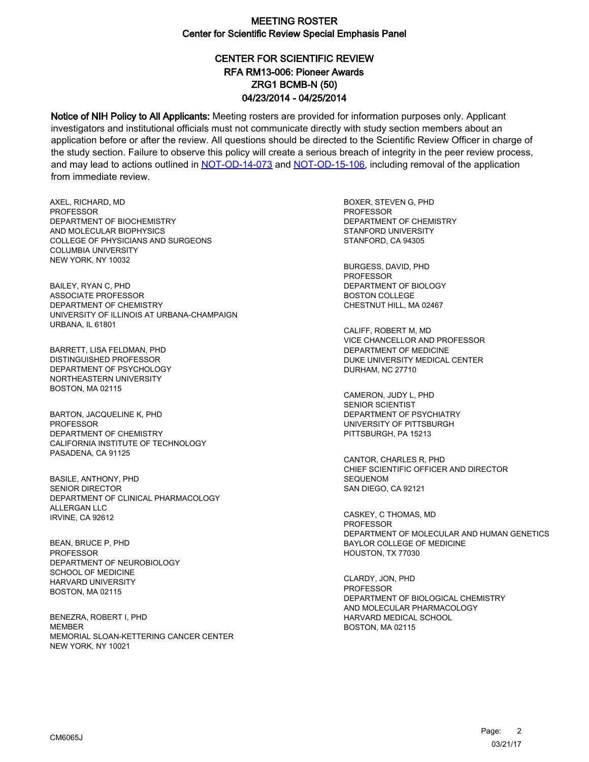# CENTER FOR SCIENTIFIC REVIEW ZRG1 BCMB-N (50) 04/23/2014 - 04/25/2014 RFA RM13-006: Pioneer Awards

Notice of NIH Policy to All Applicants: Meeting rosters are provided for information purposes only. Applicant investigators and institutional officials must not communicate directly with study section members about an application before or after the review. All questions should be directed to the Scientific Review Officer in charge of the study section. Failure to observe this policy will create a serious breach of integrity in the peer review process, and may lead to actions outlined in [NOT-OD-14-073](https://grants.nih.gov/grants/guide/notice-files/NOT-OD-14-073.html) and [NOT-OD-15-106,](https://grants.nih.gov/grants/guide/notice-files/NOT-OD-15-106.html) including removal of the application from immediate review.

AXEL, RICHARD, MD **PROFESSOR** DEPARTMENT OF BIOCHEMISTRY AND MOLECULAR BIOPHYSICS COLLEGE OF PHYSICIANS AND SURGEONS COLUMBIA UNIVERSITY NEW YORK, NY 10032

BAILEY, RYAN C, PHD ASSOCIATE PROFESSOR DEPARTMENT OF CHEMISTRY UNIVERSITY OF ILLINOIS AT URBANA-CHAMPAIGN URBANA, IL 61801

BARRETT, LISA FELDMAN, PHD DISTINGUISHED PROFESSOR DEPARTMENT OF PSYCHOLOGY NORTHEASTERN UNIVERSITY BOSTON, MA 02115

BARTON, JACQUELINE K, PHD PROFESSOR DEPARTMENT OF CHEMISTRY CALIFORNIA INSTITUTE OF TECHNOLOGY PASADENA, CA 91125

BASILE, ANTHONY, PHD SENIOR DIRECTOR DEPARTMENT OF CLINICAL PHARMACOLOGY ALLERGAN LLC IRVINE, CA 92612

BEAN, BRUCE P, PHD **PROFESSOR** DEPARTMENT OF NEUROBIOLOGY SCHOOL OF MEDICINE HARVARD UNIVERSITY BOSTON, MA 02115

BENEZRA, ROBERT I, PHD MEMBER MEMORIAL SLOAN-KETTERING CANCER CENTER NEW YORK, NY 10021

BOXER, STEVEN G, PHD **PROFESSOR** DEPARTMENT OF CHEMISTRY STANFORD UNIVERSITY STANFORD, CA 94305

BURGESS, DAVID, PHD PROFESSOR DEPARTMENT OF BIOLOGY BOSTON COLLEGE CHESTNUT HILL, MA 02467

CALIFF, ROBERT M, MD VICE CHANCELLOR AND PROFESSOR DEPARTMENT OF MEDICINE DUKE UNIVERSITY MEDICAL CENTER DURHAM, NC 27710

CAMERON, JUDY L, PHD SENIOR SCIENTIST DEPARTMENT OF PSYCHIATRY UNIVERSITY OF PITTSBURGH PITTSBURGH, PA 15213

CANTOR, CHARLES R, PHD CHIEF SCIENTIFIC OFFICER AND DIRECTOR SEQUENOM SAN DIEGO, CA 92121

CASKEY, C THOMAS, MD **PROFESSOR** DEPARTMENT OF MOLECULAR AND HUMAN GENETICS BAYLOR COLLEGE OF MEDICINE HOUSTON, TX 77030

CLARDY, JON, PHD **PROFESSOR** DEPARTMENT OF BIOLOGICAL CHEMISTRY AND MOLECULAR PHARMACOLOGY HARVARD MEDICAL SCHOOL BOSTON, MA 02115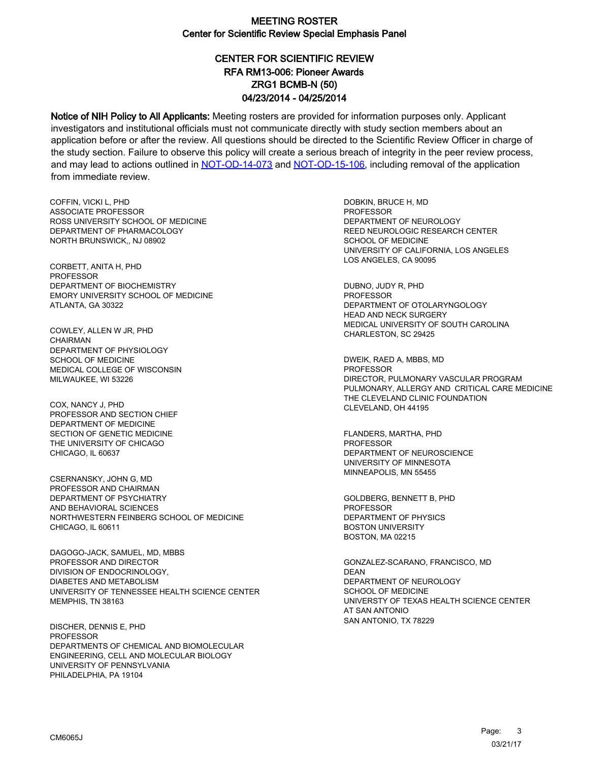# CENTER FOR SCIENTIFIC REVIEW ZRG1 BCMB-N (50) 04/23/2014 - 04/25/2014 RFA RM13-006: Pioneer Awards

Notice of NIH Policy to All Applicants: Meeting rosters are provided for information purposes only. Applicant investigators and institutional officials must not communicate directly with study section members about an application before or after the review. All questions should be directed to the Scientific Review Officer in charge of the study section. Failure to observe this policy will create a serious breach of integrity in the peer review process, and may lead to actions outlined in [NOT-OD-14-073](https://grants.nih.gov/grants/guide/notice-files/NOT-OD-14-073.html) and [NOT-OD-15-106,](https://grants.nih.gov/grants/guide/notice-files/NOT-OD-15-106.html) including removal of the application from immediate review.

COFFIN, VICKI L, PHD ASSOCIATE PROFESSOR ROSS UNIVERSITY SCHOOL OF MEDICINE DEPARTMENT OF PHARMACOLOGY NORTH BRUNSWICK,, NJ 08902

CORBETT, ANITA H, PHD PROFESSOR DEPARTMENT OF BIOCHEMISTRY EMORY UNIVERSITY SCHOOL OF MEDICINE ATLANTA, GA 30322

COWLEY, ALLEN W JR, PHD **CHAIRMAN** DEPARTMENT OF PHYSIOLOGY SCHOOL OF MEDICINE MEDICAL COLLEGE OF WISCONSIN MILWAUKEE, WI 53226

COX, NANCY J, PHD PROFESSOR AND SECTION CHIEF DEPARTMENT OF MEDICINE SECTION OF GENETIC MEDICINE THE UNIVERSITY OF CHICAGO CHICAGO, IL 60637

CSERNANSKY, JOHN G, MD PROFESSOR AND CHAIRMAN DEPARTMENT OF PSYCHIATRY AND BEHAVIORAL SCIENCES NORTHWESTERN FEINBERG SCHOOL OF MEDICINE CHICAGO, IL 60611

DAGOGO-JACK, SAMUEL, MD, MBBS PROFESSOR AND DIRECTOR DIVISION OF ENDOCRINOLOGY, DIABETES AND METABOLISM UNIVERSITY OF TENNESSEE HEALTH SCIENCE CENTER MEMPHIS, TN 38163

DISCHER, DENNIS E, PHD PROFESSOR DEPARTMENTS OF CHEMICAL AND BIOMOLECULAR ENGINEERING, CELL AND MOLECULAR BIOLOGY UNIVERSITY OF PENNSYLVANIA PHILADELPHIA, PA 19104

DOBKIN, BRUCE H, MD PROFESSOR DEPARTMENT OF NEUROLOGY REED NEUROLOGIC RESEARCH CENTER SCHOOL OF MEDICINE UNIVERSITY OF CALIFORNIA, LOS ANGELES LOS ANGELES, CA 90095

DUBNO, JUDY R, PHD PROFESSOR DEPARTMENT OF OTOLARYNGOLOGY HEAD AND NECK SURGERY MEDICAL UNIVERSITY OF SOUTH CAROLINA CHARLESTON, SC 29425

DWEIK, RAED A, MBBS, MD **PROFESSOR** DIRECTOR, PULMONARY VASCULAR PROGRAM PULMONARY, ALLERGY AND CRITICAL CARE MEDICINE THE CLEVELAND CLINIC FOUNDATION CLEVELAND, OH 44195

FLANDERS, MARTHA, PHD PROFESSOR DEPARTMENT OF NEUROSCIENCE UNIVERSITY OF MINNESOTA MINNEAPOLIS, MN 55455

GOLDBERG, BENNETT B, PHD PROFESSOR DEPARTMENT OF PHYSICS BOSTON UNIVERSITY BOSTON, MA 02215

GONZALEZ-SCARANO, FRANCISCO, MD DEAN DEPARTMENT OF NEUROLOGY SCHOOL OF MEDICINE UNIVERSTY OF TEXAS HEALTH SCIENCE CENTER AT SAN ANTONIO SAN ANTONIO, TX 78229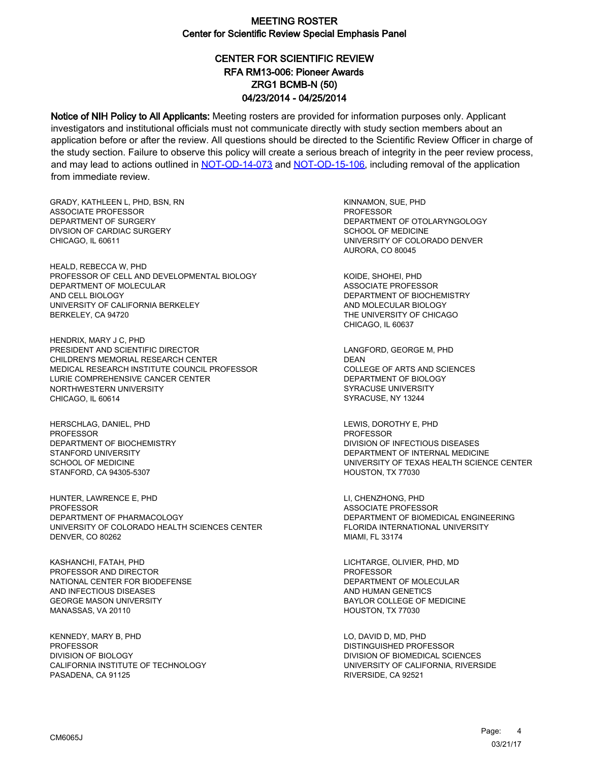# CENTER FOR SCIENTIFIC REVIEW ZRG1 BCMB-N (50) 04/23/2014 - 04/25/2014 RFA RM13-006: Pioneer Awards

Notice of NIH Policy to All Applicants: Meeting rosters are provided for information purposes only. Applicant investigators and institutional officials must not communicate directly with study section members about an application before or after the review. All questions should be directed to the Scientific Review Officer in charge of the study section. Failure to observe this policy will create a serious breach of integrity in the peer review process, and may lead to actions outlined in [NOT-OD-14-073](https://grants.nih.gov/grants/guide/notice-files/NOT-OD-14-073.html) and [NOT-OD-15-106,](https://grants.nih.gov/grants/guide/notice-files/NOT-OD-15-106.html) including removal of the application from immediate review.

GRADY, KATHLEEN L, PHD, BSN, RN ASSOCIATE PROFESSOR DEPARTMENT OF SURGERY DIVSION OF CARDIAC SURGERY CHICAGO, IL 60611

HEALD, REBECCA W, PHD PROFESSOR OF CELL AND DEVELOPMENTAL BIOLOGY DEPARTMENT OF MOLECULAR AND CELL BIOLOGY UNIVERSITY OF CALIFORNIA BERKELEY BERKELEY, CA 94720

HENDRIX, MARY J C, PHD PRESIDENT AND SCIENTIFIC DIRECTOR CHILDREN'S MEMORIAL RESEARCH CENTER MEDICAL RESEARCH INSTITUTE COUNCIL PROFESSOR LURIE COMPREHENSIVE CANCER CENTER NORTHWESTERN UNIVERSITY CHICAGO, IL 60614

HERSCHLAG, DANIEL, PHD PROFESSOR DEPARTMENT OF BIOCHEMISTRY STANFORD UNIVERSITY SCHOOL OF MEDICINE STANFORD, CA 94305-5307

HUNTER, LAWRENCE E, PHD PROFESSOR DEPARTMENT OF PHARMACOLOGY UNIVERSITY OF COLORADO HEALTH SCIENCES CENTER DENVER, CO 80262

KASHANCHI, FATAH, PHD PROFESSOR AND DIRECTOR NATIONAL CENTER FOR BIODEFENSE AND INFECTIOUS DISEASES GEORGE MASON UNIVERSITY MANASSAS, VA 20110

KENNEDY, MARY B, PHD **PROFESSOR** DIVISION OF BIOLOGY CALIFORNIA INSTITUTE OF TECHNOLOGY PASADENA, CA 91125

KINNAMON, SUE, PHD PROFESSOR DEPARTMENT OF OTOLARYNGOLOGY SCHOOL OF MEDICINE UNIVERSITY OF COLORADO DENVER AURORA, CO 80045

KOIDE, SHOHEI, PHD ASSOCIATE PROFESSOR DEPARTMENT OF BIOCHEMISTRY AND MOLECULAR BIOLOGY THE UNIVERSITY OF CHICAGO CHICAGO, IL 60637

LANGFORD, GEORGE M, PHD DEAN COLLEGE OF ARTS AND SCIENCES DEPARTMENT OF BIOLOGY SYRACUSE UNIVERSITY SYRACUSE, NY 13244

LEWIS, DOROTHY E, PHD PROFESSOR DIVISION OF INFECTIOUS DISEASES DEPARTMENT OF INTERNAL MEDICINE UNIVERSITY OF TEXAS HEALTH SCIENCE CENTER HOUSTON, TX 77030

LI, CHENZHONG, PHD ASSOCIATE PROFESSOR DEPARTMENT OF BIOMEDICAL ENGINEERING FLORIDA INTERNATIONAL UNIVERSITY MIAMI, FL 33174

LICHTARGE, OLIVIER, PHD, MD PROFESSOR DEPARTMENT OF MOLECULAR AND HUMAN GENETICS BAYLOR COLLEGE OF MEDICINE HOUSTON, TX 77030

LO, DAVID D, MD, PHD DISTINGUISHED PROFESSOR DIVISION OF BIOMEDICAL SCIENCES UNIVERSITY OF CALIFORNIA, RIVERSIDE RIVERSIDE, CA 92521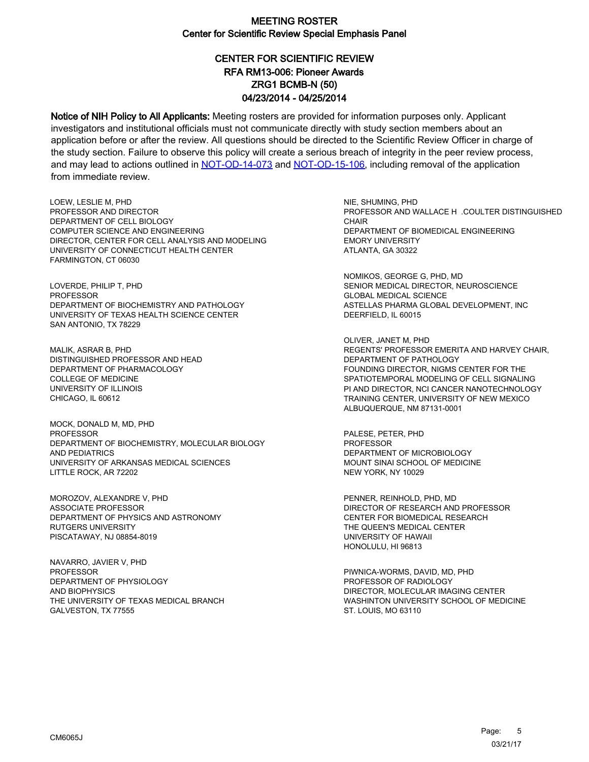# CENTER FOR SCIENTIFIC REVIEW ZRG1 BCMB-N (50) 04/23/2014 - 04/25/2014 RFA RM13-006: Pioneer Awards

Notice of NIH Policy to All Applicants: Meeting rosters are provided for information purposes only. Applicant investigators and institutional officials must not communicate directly with study section members about an application before or after the review. All questions should be directed to the Scientific Review Officer in charge of the study section. Failure to observe this policy will create a serious breach of integrity in the peer review process, and may lead to actions outlined in [NOT-OD-14-073](https://grants.nih.gov/grants/guide/notice-files/NOT-OD-14-073.html) and [NOT-OD-15-106,](https://grants.nih.gov/grants/guide/notice-files/NOT-OD-15-106.html) including removal of the application from immediate review.

LOEW, LESLIE M, PHD PROFESSOR AND DIRECTOR DEPARTMENT OF CELL BIOLOGY COMPUTER SCIENCE AND ENGINEERING DIRECTOR, CENTER FOR CELL ANALYSIS AND MODELING UNIVERSITY OF CONNECTICUT HEALTH CENTER FARMINGTON, CT 06030

LOVERDE, PHILIP T, PHD PROFESSOR DEPARTMENT OF BIOCHEMISTRY AND PATHOLOGY UNIVERSITY OF TEXAS HEALTH SCIENCE CENTER SAN ANTONIO, TX 78229

MALIK, ASRAR B, PHD DISTINGUISHED PROFESSOR AND HEAD DEPARTMENT OF PHARMACOLOGY COLLEGE OF MEDICINE UNIVERSITY OF ILLINOIS CHICAGO, IL 60612

MOCK, DONALD M, MD, PHD **PROFESSOR** DEPARTMENT OF BIOCHEMISTRY, MOLECULAR BIOLOGY AND PEDIATRICS UNIVERSITY OF ARKANSAS MEDICAL SCIENCES LITTLE ROCK, AR 72202

MOROZOV, ALEXANDRE V, PHD ASSOCIATE PROFESSOR DEPARTMENT OF PHYSICS AND ASTRONOMY RUTGERS UNIVERSITY PISCATAWAY, NJ 08854-8019

NAVARRO, JAVIER V, PHD PROFESSOR DEPARTMENT OF PHYSIOLOGY AND BIOPHYSICS THE UNIVERSITY OF TEXAS MEDICAL BRANCH GALVESTON, TX 77555

NIE, SHUMING, PHD PROFESSOR AND WALLACE H .COULTER DISTINGUISHED **CHAIR** DEPARTMENT OF BIOMEDICAL ENGINEERING EMORY UNIVERSITY ATLANTA, GA 30322

NOMIKOS, GEORGE G, PHD, MD SENIOR MEDICAL DIRECTOR, NEUROSCIENCE GLOBAL MEDICAL SCIENCE ASTELLAS PHARMA GLOBAL DEVELOPMENT, INC DEERFIELD, IL 60015

OLIVER, JANET M, PHD REGENTS' PROFESSOR EMERITA AND HARVEY CHAIR, DEPARTMENT OF PATHOLOGY FOUNDING DIRECTOR, NIGMS CENTER FOR THE SPATIOTEMPORAL MODELING OF CELL SIGNALING PI AND DIRECTOR, NCI CANCER NANOTECHNOLOGY TRAINING CENTER, UNIVERSITY OF NEW MEXICO ALBUQUERQUE, NM 87131-0001

PALESE, PETER, PHD PROFESSOR DEPARTMENT OF MICROBIOLOGY MOUNT SINAI SCHOOL OF MEDICINE NEW YORK, NY 10029

PENNER, REINHOLD, PHD, MD DIRECTOR OF RESEARCH AND PROFESSOR CENTER FOR BIOMEDICAL RESEARCH THE QUEEN'S MEDICAL CENTER UNIVERSITY OF HAWAII HONOLULU, HI 96813

PIWNICA-WORMS, DAVID, MD, PHD PROFESSOR OF RADIOLOGY DIRECTOR, MOLECULAR IMAGING CENTER WASHINTON UNIVERSITY SCHOOL OF MEDICINE ST. LOUIS, MO 63110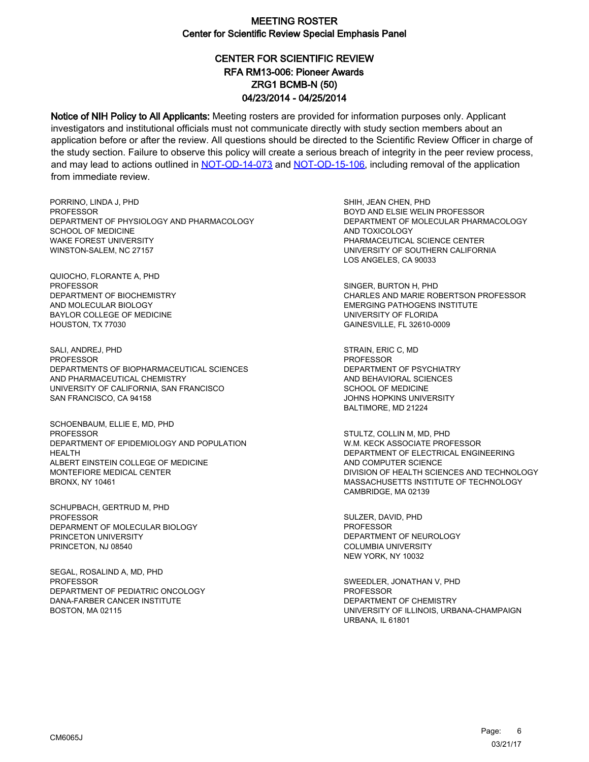# CENTER FOR SCIENTIFIC REVIEW ZRG1 BCMB-N (50) 04/23/2014 - 04/25/2014 RFA RM13-006: Pioneer Awards

Notice of NIH Policy to All Applicants: Meeting rosters are provided for information purposes only. Applicant investigators and institutional officials must not communicate directly with study section members about an application before or after the review. All questions should be directed to the Scientific Review Officer in charge of the study section. Failure to observe this policy will create a serious breach of integrity in the peer review process, and may lead to actions outlined in [NOT-OD-14-073](https://grants.nih.gov/grants/guide/notice-files/NOT-OD-14-073.html) and [NOT-OD-15-106,](https://grants.nih.gov/grants/guide/notice-files/NOT-OD-15-106.html) including removal of the application from immediate review.

PORRINO, LINDA J, PHD **PROFESSOR** DEPARTMENT OF PHYSIOLOGY AND PHARMACOLOGY SCHOOL OF MEDICINE WAKE FOREST UNIVERSITY WINSTON-SALEM, NC 27157

QUIOCHO, FLORANTE A, PHD PROFESSOR DEPARTMENT OF BIOCHEMISTRY AND MOLECULAR BIOLOGY BAYLOR COLLEGE OF MEDICINE HOUSTON, TX 77030

SALI, ANDREJ, PHD **PROFESSOR** DEPARTMENTS OF BIOPHARMACEUTICAL SCIENCES AND PHARMACEUTICAL CHEMISTRY UNIVERSITY OF CALIFORNIA, SAN FRANCISCO SAN FRANCISCO, CA 94158

SCHOENBAUM, ELLIE E, MD, PHD **PROFESSOR** DEPARTMENT OF EPIDEMIOLOGY AND POPULATION HEALTH ALBERT EINSTEIN COLLEGE OF MEDICINE MONTEFIORE MEDICAL CENTER BRONX, NY 10461

SCHUPBACH, GERTRUD M, PHD PROFESSOR DEPARMENT OF MOLECULAR BIOLOGY PRINCETON UNIVERSITY PRINCETON, NJ 08540

SEGAL, ROSALIND A, MD, PHD PROFESSOR DEPARTMENT OF PEDIATRIC ONCOLOGY DANA-FARBER CANCER INSTITUTE BOSTON, MA 02115

SHIH, JEAN CHEN, PHD BOYD AND ELSIE WELIN PROFESSOR DEPARTMENT OF MOLECULAR PHARMACOLOGY AND TOXICOLOGY PHARMACEUTICAL SCIENCE CENTER UNIVERSITY OF SOUTHERN CALIFORNIA LOS ANGELES, CA 90033

SINGER, BURTON H, PHD CHARLES AND MARIE ROBERTSON PROFESSOR EMERGING PATHOGENS INSTITUTE UNIVERSITY OF FLORIDA GAINESVILLE, FL 32610-0009

STRAIN, ERIC C, MD **PROFESSOR** DEPARTMENT OF PSYCHIATRY AND BEHAVIORAL SCIENCES SCHOOL OF MEDICINE JOHNS HOPKINS UNIVERSITY BALTIMORE, MD 21224

STULTZ, COLLIN M, MD, PHD W.M. KECK ASSOCIATE PROFESSOR DEPARTMENT OF ELECTRICAL ENGINEERING AND COMPUTER SCIENCE DIVISION OF HEALTH SCIENCES AND TECHNOLOGY MASSACHUSETTS INSTITUTE OF TECHNOLOGY CAMBRIDGE, MA 02139

SULZER, DAVID, PHD PROFESSOR DEPARTMENT OF NEUROLOGY COLUMBIA UNIVERSITY NEW YORK, NY 10032

SWEEDLER, JONATHAN V, PHD PROFESSOR DEPARTMENT OF CHEMISTRY UNIVERSITY OF ILLINOIS, URBANA-CHAMPAIGN URBANA, IL 61801